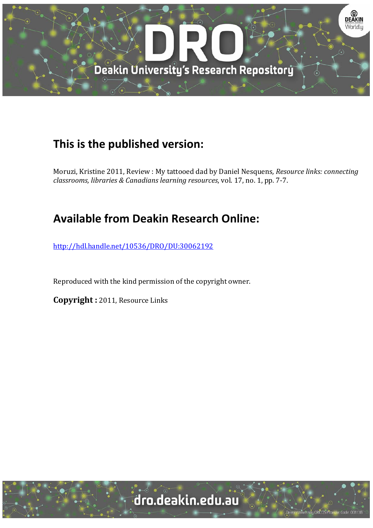

## **This is the published version:**

Moruzi, Kristine 2011, Review : My tattooed dad by Daniel Nesquens*, Resource links: connecting classrooms, libraries & Canadians learning resources*, vol. 17, no. 1, pp. 7‐7. 

## **Available from Deakin Research Online:**

http://hdl.handle.net/10536/DRO/DU:30062192

Reproduced with the kind permission of the copyright owner.

**Copyright**: 2011, Resource Links